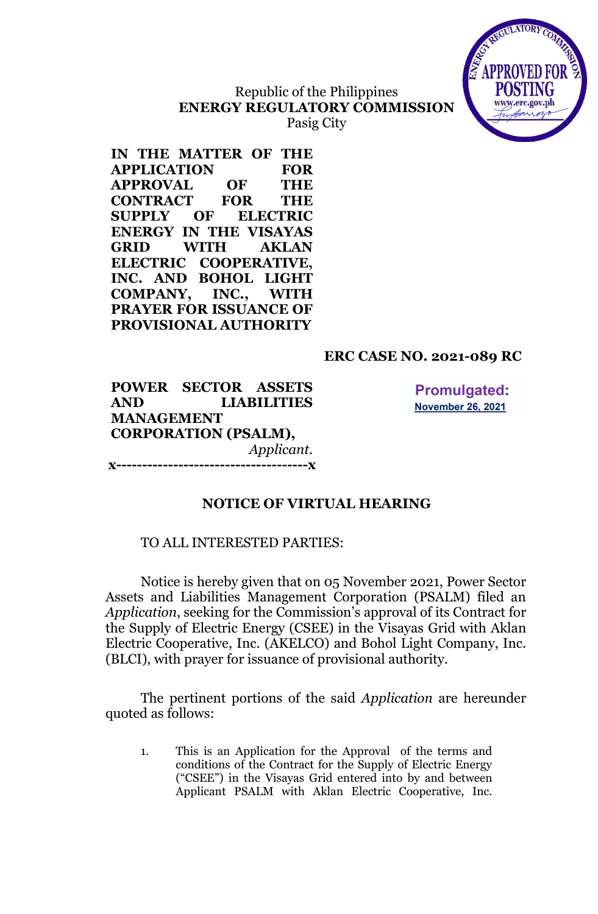

# Republic of the Philippines **ENERGY REGULATORY COMMISSION**

Pasig City

**IN THE MATTER OF THE APPLICATION FOR APPROVAL OF THE CONTRACT FOR THE SUPPLY OF ELECTRIC ENERGY IN THE VISAYAS GRID WITH AKLAN ELECTRIC COOPERATIVE, INC. AND BOHOL LIGHT COMPANY, INC., WITH PRAYER FOR ISSUANCE OF PROVISIONAL AUTHORITY**

## **ERC CASE NO. 2021-089 RC**

**POWER SECTOR ASSETS AND LIABILITIES MANAGEMENT CORPORATION (PSALM),** *Applicant.* **x-------------------------------------x**

**Promulgated: November 26, 2021** 

## **NOTICE OF VIRTUAL HEARING**

### TO ALL INTERESTED PARTIES:

Notice is hereby given that on 05 November 2021, Power Sector Assets and Liabilities Management Corporation (PSALM) filed an *Application*, seeking for the Commission's approval of its Contract for the Supply of Electric Energy (CSEE) in the Visayas Grid with Aklan Electric Cooperative, Inc. (AKELCO) and Bohol Light Company, Inc. (BLCI), with prayer for issuance of provisional authority.

The pertinent portions of the said *Application* are hereunder quoted as follows:

1. This is an Application for the Approval of the terms and conditions of the Contract for the Supply of Electric Energy ("CSEE") in the Visayas Grid entered into by and between Applicant PSALM with Aklan Electric Cooperative, Inc.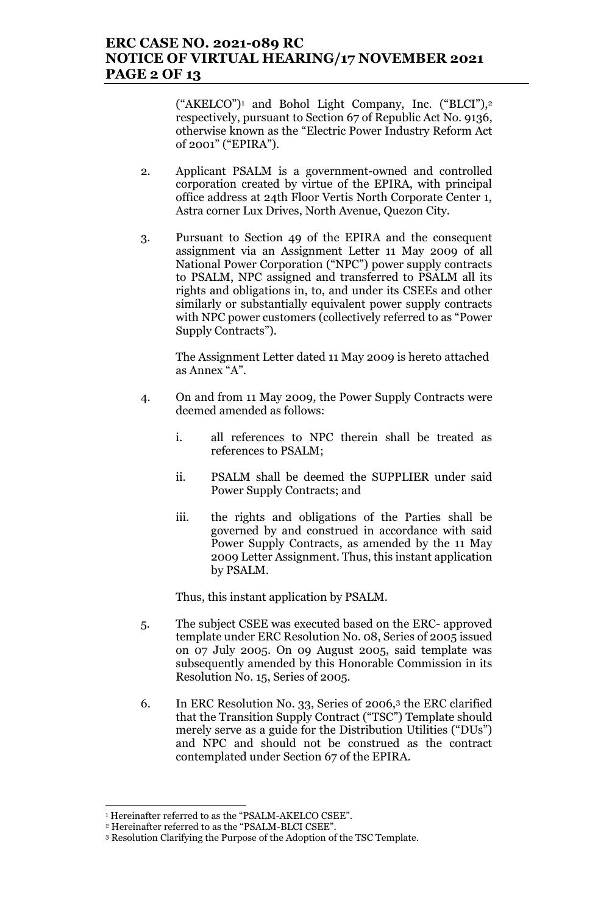## **ERC CASE NO. 2021-089 RC NOTICE OF VIRTUAL HEARING/17 NOVEMBER 2021 PAGE 2 OF 13**

("AKELCO")<sup>1</sup> and Bohol Light Company, Inc. ("BLCI"),<sup>2</sup> respectively, pursuant to Section 67 of Republic Act No. 9136, otherwise known as the "Electric Power Industry Reform Act of 2001" ("EPIRA").

- 2. Applicant PSALM is a government-owned and controlled corporation created by virtue of the EPIRA, with principal office address at 24th Floor Vertis North Corporate Center 1, Astra corner Lux Drives, North Avenue, Quezon City.
- 3. Pursuant to Section 49 of the EPIRA and the consequent assignment via an Assignment Letter 11 May 2009 of all National Power Corporation ("NPC") power supply contracts to PSALM, NPC assigned and transferred to PSALM all its rights and obligations in, to, and under its CSEEs and other similarly or substantially equivalent power supply contracts with NPC power customers (collectively referred to as "Power Supply Contracts").

The Assignment Letter dated 11 May 2009 is hereto attached as Annex "A".

- 4. On and from 11 May 2009, the Power Supply Contracts were deemed amended as follows:
	- i. all references to NPC therein shall be treated as references to PSALM;
	- ii. PSALM shall be deemed the SUPPLIER under said Power Supply Contracts; and
	- iii. the rights and obligations of the Parties shall be governed by and construed in accordance with said Power Supply Contracts, as amended by the 11 May 2009 Letter Assignment. Thus, this instant application by PSALM.

Thus, this instant application by PSALM.

- 5. The subject CSEE was executed based on the ERC- approved template under ERC Resolution No. 08, Series of 2005 issued on 07 July 2005. On 09 August 2005, said template was subsequently amended by this Honorable Commission in its Resolution No. 15, Series of 2005.
- 6. In ERC Resolution No. 33, Series of 2006,<sup>3</sup> the ERC clarified that the Transition Supply Contract ("TSC") Template should merely serve as a guide for the Distribution Utilities ("DUs") and NPC and should not be construed as the contract contemplated under Section 67 of the EPIRA.

<sup>1</sup> Hereinafter referred to as the "PSALM-AKELCO CSEE".

<sup>2</sup> Hereinafter referred to as the "PSALM-BLCI CSEE".

<sup>3</sup> Resolution Clarifying the Purpose of the Adoption of the TSC Template.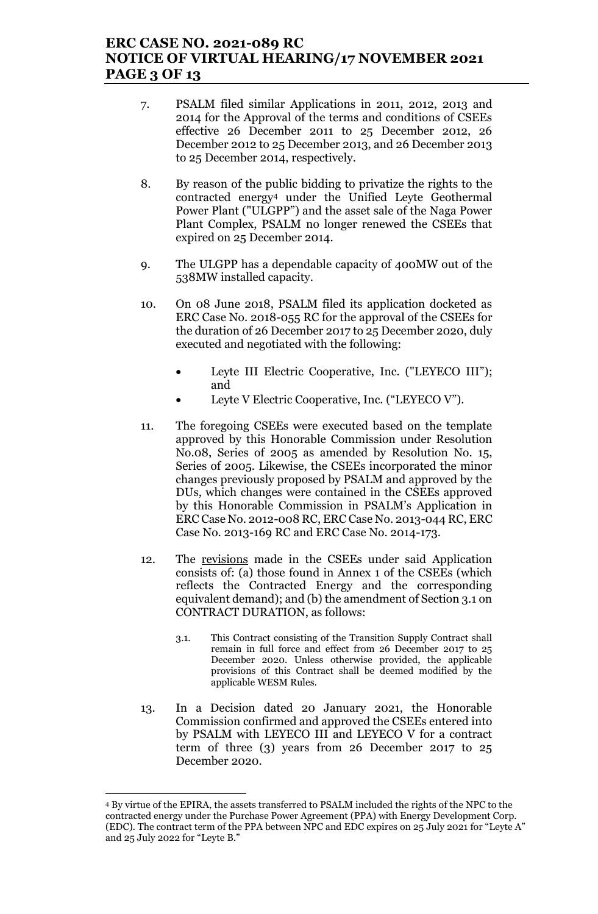## **ERC CASE NO. 2021-089 RC NOTICE OF VIRTUAL HEARING/17 NOVEMBER 2021 PAGE 3 OF 13**

- 7. PSALM filed similar Applications in 2011, 2012, 2013 and 2014 for the Approval of the terms and conditions of CSEEs effective 26 December 2011 to 25 December 2012, 26 December 2012 to 25 December 2013, and 26 December 2013 to 25 December 2014, respectively.
- 8. By reason of the public bidding to privatize the rights to the contracted energy<sup>4</sup> under the Unified Leyte Geothermal Power Plant ("ULGPP") and the asset sale of the Naga Power Plant Complex, PSALM no longer renewed the CSEEs that expired on 25 December 2014.
- 9. The ULGPP has a dependable capacity of 400MW out of the 538MW installed capacity.
- 10. On 08 June 2018, PSALM filed its application docketed as ERC Case No. 2018-055 RC for the approval of the CSEEs for the duration of 26 December 2017 to 25 December 2020, duly executed and negotiated with the following:
	- Leyte III Electric Cooperative, Inc. ("LEYECO III"); and
	- Leyte V Electric Cooperative, Inc. ("LEYECO V").
- 11. The foregoing CSEEs were executed based on the template approved by this Honorable Commission under Resolution No.08, Series of 2005 as amended by Resolution No. 15, Series of 2005. Likewise, the CSEEs incorporated the minor changes previously proposed by PSALM and approved by the DUs, which changes were contained in the CSEEs approved by this Honorable Commission in PSALM's Application in ERC Case No. 2012-008 RC, ERC Case No. 2013-044 RC, ERC Case No. 2013-169 RC and ERC Case No. 2014-173.
- 12. The revisions made in the CSEEs under said Application consists of: (a) those found in Annex 1 of the CSEEs (which reflects the Contracted Energy and the corresponding equivalent demand); and (b) the amendment of Section 3.1 on CONTRACT DURATION, as follows:
	- 3.1. This Contract consisting of the Transition Supply Contract shall remain in full force and effect from 26 December 2017 to 25 December 2020. Unless otherwise provided, the applicable provisions of this Contract shall be deemed modified by the applicable WESM Rules.
- 13. In a Decision dated 20 January 2021, the Honorable Commission confirmed and approved the CSEEs entered into by PSALM with LEYECO III and LEYECO V for a contract term of three (3) years from 26 December 2017 to 25 December 2020.

<sup>4</sup> By virtue of the EPIRA, the assets transferred to PSALM included the rights of the NPC to the contracted energy under the Purchase Power Agreement (PPA) with Energy Development Corp. (EDC). The contract term of the PPA between NPC and EDC expires on 25 July 2021 for "Leyte A" and 25 July 2022 for "Leyte B."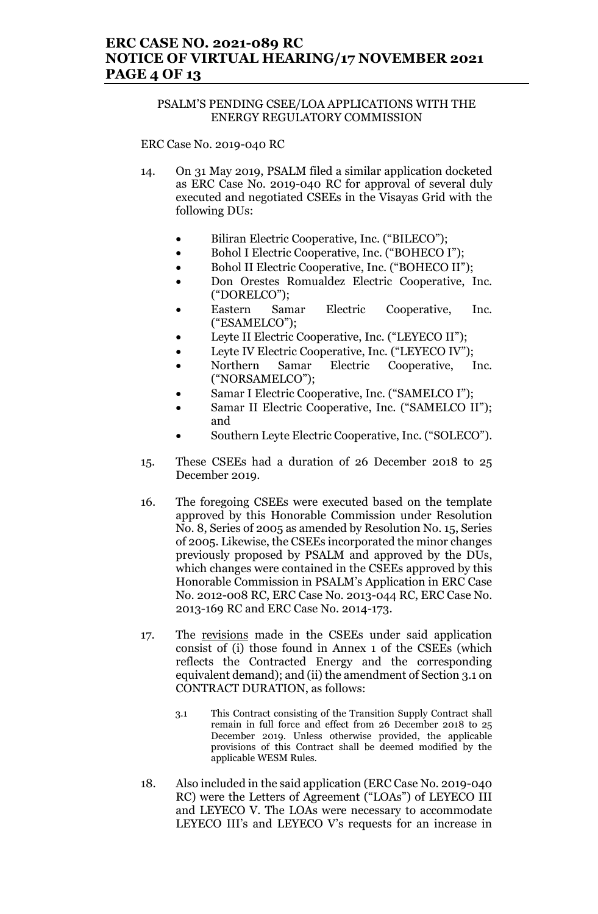## **ERC CASE NO. 2021-089 RC NOTICE OF VIRTUAL HEARING/17 NOVEMBER 2021 PAGE 4 OF 13**

### PSALM'S PENDING CSEE/LOA APPLICATIONS WITH THE ENERGY REGULATORY COMMISSION

ERC Case No. 2019-040 RC

- 14. On 31 May 2019, PSALM filed a similar application docketed as ERC Case No. 2019-040 RC for approval of several duly executed and negotiated CSEEs in the Visayas Grid with the following DUs:
	- Biliran Electric Cooperative, Inc. ("BILECO");
	- Bohol I Electric Cooperative, Inc. ("BOHECO I");
	- Bohol II Electric Cooperative, Inc. ("BOHECO II");
	- Don Orestes Romualdez Electric Cooperative, Inc. ("DORELCO");
	- Eastern Samar Electric Cooperative, Inc. ("ESAMELCO");
	- Leyte II Electric Cooperative, Inc. ("LEYECO II");
	- Leyte IV Electric Cooperative, Inc. ("LEYECO IV");
	- Northern Samar Electric Cooperative, Inc. ("NORSAMELCO");
	- Samar I Electric Cooperative, Inc. ("SAMELCO I");
	- Samar II Electric Cooperative, Inc. ("SAMELCO II"); and
	- Southern Leyte Electric Cooperative, Inc. ("SOLECO").
- 15. These CSEEs had a duration of 26 December 2018 to 25 December 2019.
- 16. The foregoing CSEEs were executed based on the template approved by this Honorable Commission under Resolution No. 8, Series of 2005 as amended by Resolution No. 15, Series of 2005. Likewise, the CSEEs incorporated the minor changes previously proposed by PSALM and approved by the DUs, which changes were contained in the CSEEs approved by this Honorable Commission in PSALM's Application in ERC Case No. 2012-008 RC, ERC Case No. 2013-044 RC, ERC Case No. 2013-169 RC and ERC Case No. 2014-173.
- 17. The revisions made in the CSEEs under said application consist of (i) those found in Annex 1 of the CSEEs (which reflects the Contracted Energy and the corresponding equivalent demand); and (ii) the amendment of Section 3.1 on CONTRACT DURATION, as follows:
	- 3.1 This Contract consisting of the Transition Supply Contract shall remain in full force and effect from 26 December 2018 to 25 December 2019. Unless otherwise provided, the applicable provisions of this Contract shall be deemed modified by the applicable WESM Rules.
- 18. Also included in the said application (ERC Case No. 2019-040 RC) were the Letters of Agreement ("LOAs") of LEYECO III and LEYECO V. The LOAs were necessary to accommodate LEYECO III's and LEYECO V's requests for an increase in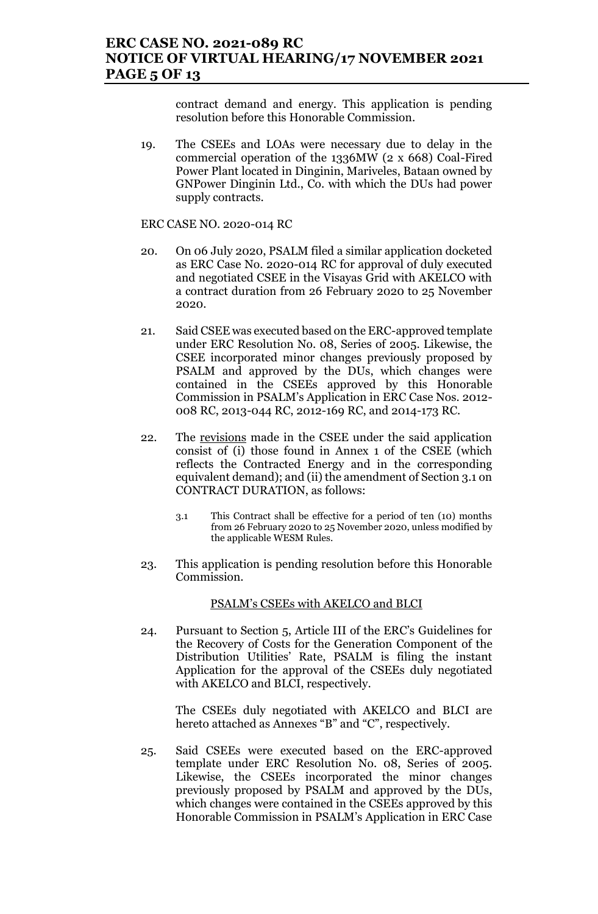contract demand and energy. This application is pending resolution before this Honorable Commission.

19. The CSEEs and LOAs were necessary due to delay in the commercial operation of the 1336MW (2 x 668) Coal-Fired Power Plant located in Dinginin, Mariveles, Bataan owned by GNPower Dinginin Ltd., Co. with which the DUs had power supply contracts.

ERC CASE NO. 2020-014 RC

- 20. On 06 July 2020, PSALM filed a similar application docketed as ERC Case No. 2020-014 RC for approval of duly executed and negotiated CSEE in the Visayas Grid with AKELCO with a contract duration from 26 February 2020 to 25 November 2020.
- 21. Said CSEE was executed based on the ERC-approved template under ERC Resolution No. 08, Series of 2005. Likewise, the CSEE incorporated minor changes previously proposed by PSALM and approved by the DUs, which changes were contained in the CSEEs approved by this Honorable Commission in PSALM's Application in ERC Case Nos. 2012- 008 RC, 2013-044 RC, 2012-169 RC, and 2014-173 RC.
- 22. The revisions made in the CSEE under the said application consist of (i) those found in Annex 1 of the CSEE (which reflects the Contracted Energy and in the corresponding equivalent demand); and (ii) the amendment of Section 3.1 on CONTRACT DURATION, as follows:
	- 3.1 This Contract shall be effective for a period of ten (10) months from 26 February 2020 to 25 November 2020, unless modified by the applicable WESM Rules.
- 23. This application is pending resolution before this Honorable Commission.

### PSALM's CSEEs with AKELCO and BLCI

24. Pursuant to Section 5, Article III of the ERC's Guidelines for the Recovery of Costs for the Generation Component of the Distribution Utilities' Rate, PSALM is filing the instant Application for the approval of the CSEEs duly negotiated with AKELCO and BLCI, respectively.

The CSEEs duly negotiated with AKELCO and BLCI are hereto attached as Annexes "B" and "C", respectively.

25. Said CSEEs were executed based on the ERC-approved template under ERC Resolution No. 08, Series of 2005. Likewise, the CSEEs incorporated the minor changes previously proposed by PSALM and approved by the DUs, which changes were contained in the CSEEs approved by this Honorable Commission in PSALM's Application in ERC Case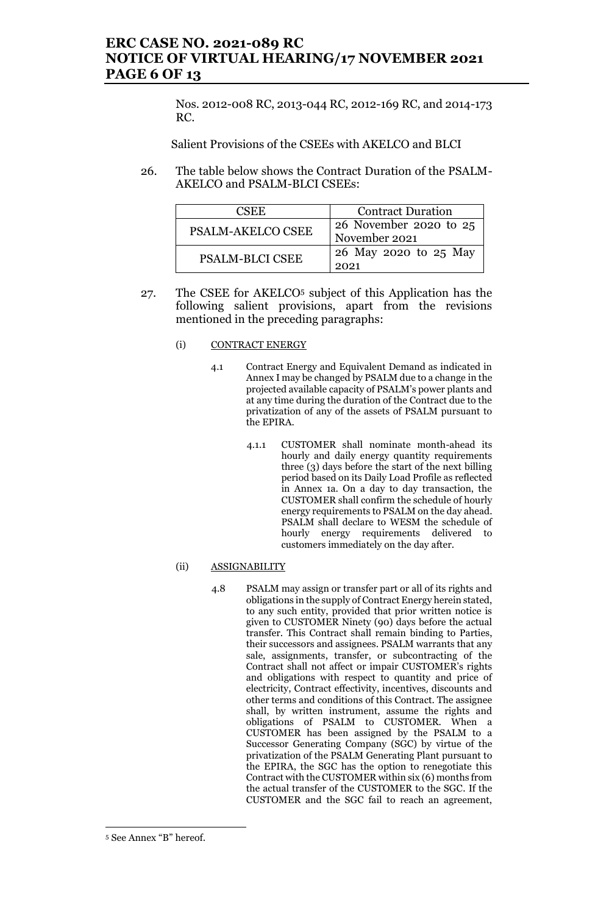## **ERC CASE NO. 2021-089 RC NOTICE OF VIRTUAL HEARING/17 NOVEMBER 2021 PAGE 6 OF 13**

Nos. 2012-008 RC, 2013-044 RC, 2012-169 RC, and 2014-173 RC.

Salient Provisions of the CSEEs with AKELCO and BLCI

26. The table below shows the Contract Duration of the PSALM-AKELCO and PSALM-BLCI CSEEs:

| CSEE.                    | <b>Contract Duration</b>                |
|--------------------------|-----------------------------------------|
| <b>PSALM-AKELCO CSEE</b> | 26 November 2020 to 25<br>November 2021 |
| <b>PSALM-BLCI CSEE</b>   | 26 May 2020 to 25 May<br>2021           |

27. The CSEE for AKELCO<sup>5</sup> subject of this Application has the following salient provisions, apart from the revisions mentioned in the preceding paragraphs:

### (i) CONTRACT ENERGY

- 4.1 Contract Energy and Equivalent Demand as indicated in Annex I may be changed by PSALM due to a change in the projected available capacity of PSALM's power plants and at any time during the duration of the Contract due to the privatization of any of the assets of PSALM pursuant to the EPIRA.
	- 4.1.1 CUSTOMER shall nominate month-ahead its hourly and daily energy quantity requirements three (3) days before the start of the next billing period based on its Daily Load Profile as reflected in Annex 1a. On a day to day transaction, the CUSTOMER shall confirm the schedule of hourly energy requirements to PSALM on the day ahead. PSALM shall declare to WESM the schedule of hourly energy requirements delivered to customers immediately on the day after.

### (ii) ASSIGNABILITY

4.8 PSALM may assign or transfer part or all of its rights and obligations in the supply of Contract Energy herein stated, to any such entity, provided that prior written notice is given to CUSTOMER Ninety (90) days before the actual transfer. This Contract shall remain binding to Parties, their successors and assignees. PSALM warrants that any sale, assignments, transfer, or subcontracting of the Contract shall not affect or impair CUSTOMER's rights and obligations with respect to quantity and price of electricity, Contract effectivity, incentives, discounts and other terms and conditions of this Contract. The assignee shall, by written instrument, assume the rights and obligations of PSALM to CUSTOMER. When a CUSTOMER has been assigned by the PSALM to a Successor Generating Company (SGC) by virtue of the privatization of the PSALM Generating Plant pursuant to the EPIRA, the SGC has the option to renegotiate this Contract with the CUSTOMER within six (6) months from the actual transfer of the CUSTOMER to the SGC. If the CUSTOMER and the SGC fail to reach an agreement,

<sup>5</sup> See Annex "B" hereof.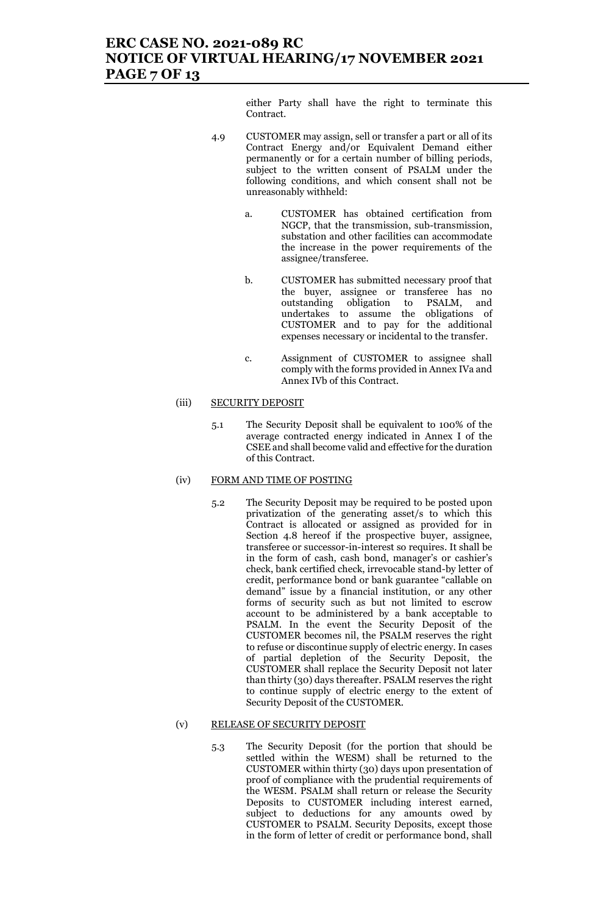## **ERC CASE NO. 2021-089 RC NOTICE OF VIRTUAL HEARING/17 NOVEMBER 2021 PAGE 7 OF 13**

either Party shall have the right to terminate this Contract.

- 4.9 CUSTOMER may assign, sell or transfer a part or all of its Contract Energy and/or Equivalent Demand either permanently or for a certain number of billing periods, subject to the written consent of PSALM under the following conditions, and which consent shall not be unreasonably withheld:
	- a. CUSTOMER has obtained certification from NGCP, that the transmission, sub-transmission, substation and other facilities can accommodate the increase in the power requirements of the assignee/transferee.
	- b. CUSTOMER has submitted necessary proof that the buyer, assignee or transferee has no outstanding obligation to PSALM, and undertakes to assume the obligations of CUSTOMER and to pay for the additional expenses necessary or incidental to the transfer.
	- c. Assignment of CUSTOMER to assignee shall comply with the forms provided in Annex IVa and Annex IVb of this Contract.

#### (iii) SECURITY DEPOSIT

5.1 The Security Deposit shall be equivalent to 100% of the average contracted energy indicated in Annex I of the CSEE and shall become valid and effective for the duration of this Contract.

#### (iv) FORM AND TIME OF POSTING

5.2 The Security Deposit may be required to be posted upon privatization of the generating asset/s to which this Contract is allocated or assigned as provided for in Section 4.8 hereof if the prospective buyer, assignee, transferee or successor-in-interest so requires. It shall be in the form of cash, cash bond, manager's or cashier's check, bank certified check, irrevocable stand-by letter of credit, performance bond or bank guarantee "callable on demand" issue by a financial institution, or any other forms of security such as but not limited to escrow account to be administered by a bank acceptable to PSALM. In the event the Security Deposit of the CUSTOMER becomes nil, the PSALM reserves the right to refuse or discontinue supply of electric energy. In cases of partial depletion of the Security Deposit, the CUSTOMER shall replace the Security Deposit not later than thirty (30) days thereafter. PSALM reserves the right to continue supply of electric energy to the extent of Security Deposit of the CUSTOMER.

#### (v) RELEASE OF SECURITY DEPOSIT

5.3 The Security Deposit (for the portion that should be settled within the WESM) shall be returned to the CUSTOMER within thirty (30) days upon presentation of proof of compliance with the prudential requirements of the WESM. PSALM shall return or release the Security Deposits to CUSTOMER including interest earned, subject to deductions for any amounts owed by CUSTOMER to PSALM. Security Deposits, except those in the form of letter of credit or performance bond, shall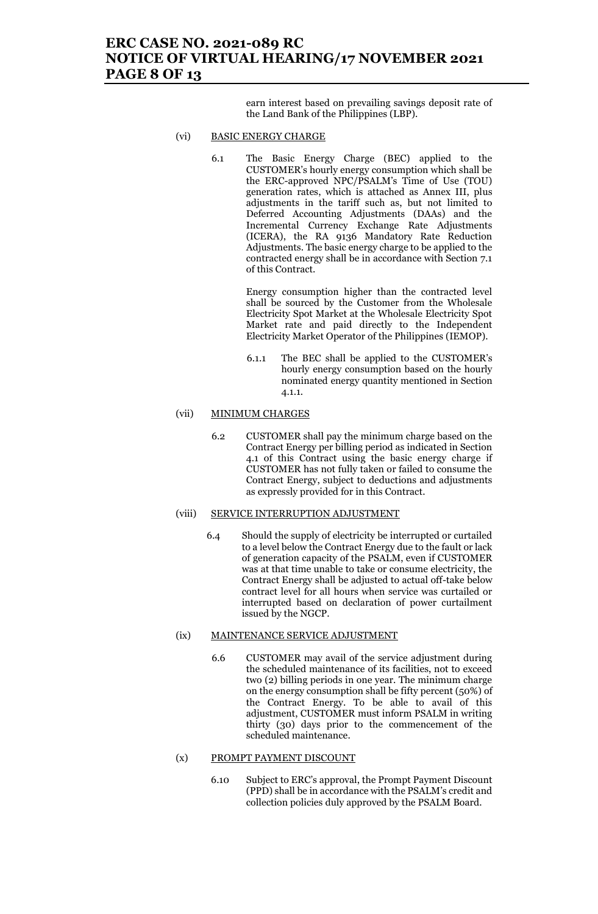## **ERC CASE NO. 2021-089 RC NOTICE OF VIRTUAL HEARING/17 NOVEMBER 2021 PAGE 8 OF 13**

earn interest based on prevailing savings deposit rate of the Land Bank of the Philippines (LBP).

#### (vi) BASIC ENERGY CHARGE

6.1 The Basic Energy Charge (BEC) applied to the CUSTOMER's hourly energy consumption which shall be the ERC-approved NPC/PSALM's Time of Use (TOU) generation rates, which is attached as Annex III, plus adjustments in the tariff such as, but not limited to Deferred Accounting Adjustments (DAAs) and the Incremental Currency Exchange Rate Adjustments (ICERA), the RA 9136 Mandatory Rate Reduction Adjustments. The basic energy charge to be applied to the contracted energy shall be in accordance with Section 7.1 of this Contract.

> Energy consumption higher than the contracted level shall be sourced by the Customer from the Wholesale Electricity Spot Market at the Wholesale Electricity Spot Market rate and paid directly to the Independent Electricity Market Operator of the Philippines (IEMOP).

> 6.1.1 The BEC shall be applied to the CUSTOMER's hourly energy consumption based on the hourly nominated energy quantity mentioned in Section 4.1.1.

#### (vii) MINIMUM CHARGES

6.2 CUSTOMER shall pay the minimum charge based on the Contract Energy per billing period as indicated in Section 4.1 of this Contract using the basic energy charge if CUSTOMER has not fully taken or failed to consume the Contract Energy, subject to deductions and adjustments as expressly provided for in this Contract.

#### (viii) SERVICE INTERRUPTION ADJUSTMENT

6.4 Should the supply of electricity be interrupted or curtailed to a level below the Contract Energy due to the fault or lack of generation capacity of the PSALM, even if CUSTOMER was at that time unable to take or consume electricity, the Contract Energy shall be adjusted to actual off-take below contract level for all hours when service was curtailed or interrupted based on declaration of power curtailment issued by the NGCP.

#### (ix) MAINTENANCE SERVICE ADJUSTMENT

6.6 CUSTOMER may avail of the service adjustment during the scheduled maintenance of its facilities, not to exceed two (2) billing periods in one year. The minimum charge on the energy consumption shall be fifty percent (50%) of the Contract Energy. To be able to avail of this adjustment, CUSTOMER must inform PSALM in writing thirty (30) days prior to the commencement of the scheduled maintenance.

#### (x) PROMPT PAYMENT DISCOUNT

6.10 Subject to ERC's approval, the Prompt Payment Discount (PPD) shall be in accordance with the PSALM's credit and collection policies duly approved by the PSALM Board.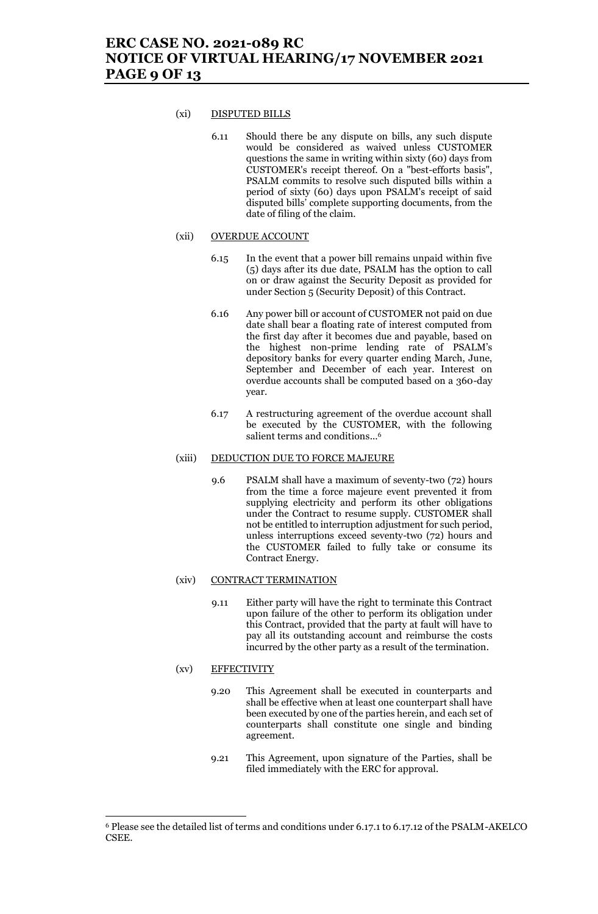#### (xi) DISPUTED BILLS

6.11 Should there be any dispute on bills, any such dispute would be considered as waived unless CUSTOMER questions the same in writing within sixty (60) days from CUSTOMER's receipt thereof. On a "best-efforts basis", PSALM commits to resolve such disputed bills within a period of sixty (60) days upon PSALM's receipt of said disputed bills' complete supporting documents, from the date of filing of the claim.

#### (xii) OVERDUE ACCOUNT

- 6.15 In the event that a power bill remains unpaid within five (5) days after its due date, PSALM has the option to call on or draw against the Security Deposit as provided for under Section 5 (Security Deposit) of this Contract.
- 6.16 Any power bill or account of CUSTOMER not paid on due date shall bear a floating rate of interest computed from the first day after it becomes due and payable, based on the highest non-prime lending rate of PSALM's depository banks for every quarter ending March, June, September and December of each year. Interest on overdue accounts shall be computed based on a 360-day year.
- 6.17 A restructuring agreement of the overdue account shall be executed by the CUSTOMER, with the following salient terms and conditions... 6

#### (xiii) DEDUCTION DUE TO FORCE MAJEURE

9.6 PSALM shall have a maximum of seventy-two (72) hours from the time a force majeure event prevented it from supplying electricity and perform its other obligations under the Contract to resume supply. CUSTOMER shall not be entitled to interruption adjustment for such period, unless interruptions exceed seventy-two (72) hours and the CUSTOMER failed to fully take or consume its Contract Energy.

#### (xiv) CONTRACT TERMINATION

9.11 Either party will have the right to terminate this Contract upon failure of the other to perform its obligation under this Contract, provided that the party at fault will have to pay all its outstanding account and reimburse the costs incurred by the other party as a result of the termination.

#### (xv) EFFECTIVITY

- 9.20 This Agreement shall be executed in counterparts and shall be effective when at least one counterpart shall have been executed by one of the parties herein, and each set of counterparts shall constitute one single and binding agreement.
- 9.21 This Agreement, upon signature of the Parties, shall be filed immediately with the ERC for approval.

<sup>6</sup> Please see the detailed list of terms and conditions under 6.17.1 to 6.17.12 of the PSALM-AKELCO CSEE.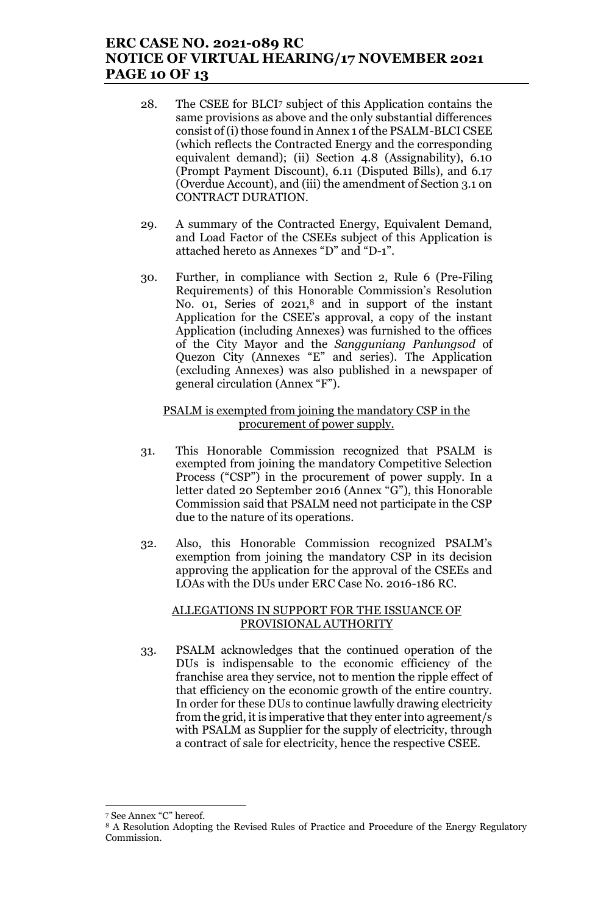## **ERC CASE NO. 2021-089 RC NOTICE OF VIRTUAL HEARING/17 NOVEMBER 2021 PAGE 10 OF 13**

- 28. The CSEE for BLCI<sup>7</sup> subject of this Application contains the same provisions as above and the only substantial differences consist of (i) those found in Annex 1 of the PSALM-BLCI CSEE (which reflects the Contracted Energy and the corresponding equivalent demand); (ii) Section 4.8 (Assignability), 6.10 (Prompt Payment Discount), 6.11 (Disputed Bills), and 6.17 (Overdue Account), and (iii) the amendment of Section 3.1 on CONTRACT DURATION.
- 29. A summary of the Contracted Energy, Equivalent Demand, and Load Factor of the CSEEs subject of this Application is attached hereto as Annexes "D" and "D-1".
- 30. Further, in compliance with Section 2, Rule 6 (Pre-Filing Requirements) of this Honorable Commission's Resolution No. 01, Series of 2021,<sup>8</sup> and in support of the instant Application for the CSEE's approval, a copy of the instant Application (including Annexes) was furnished to the offices of the City Mayor and the *Sangguniang Panlungsod* of Quezon City (Annexes "E" and series). The Application (excluding Annexes) was also published in a newspaper of general circulation (Annex "F").

### PSALM is exempted from joining the mandatory CSP in the procurement of power supply.

- 31. This Honorable Commission recognized that PSALM is exempted from joining the mandatory Competitive Selection Process ("CSP") in the procurement of power supply. In a letter dated 20 September 2016 (Annex "G"), this Honorable Commission said that PSALM need not participate in the CSP due to the nature of its operations.
- 32. Also, this Honorable Commission recognized PSALM's exemption from joining the mandatory CSP in its decision approving the application for the approval of the CSEEs and LOAs with the DUs under ERC Case No. 2016-186 RC.

### ALLEGATIONS IN SUPPORT FOR THE ISSUANCE OF PROVISIONAL AUTHORITY

33. PSALM acknowledges that the continued operation of the DUs is indispensable to the economic efficiency of the franchise area they service, not to mention the ripple effect of that efficiency on the economic growth of the entire country. In order for these DUs to continue lawfully drawing electricity from the grid, it is imperative that they enter into agreement/s with PSALM as Supplier for the supply of electricity, through a contract of sale for electricity, hence the respective CSEE.

<sup>7</sup> See Annex "C" hereof.

<sup>8</sup> A Resolution Adopting the Revised Rules of Practice and Procedure of the Energy Regulatory Commission.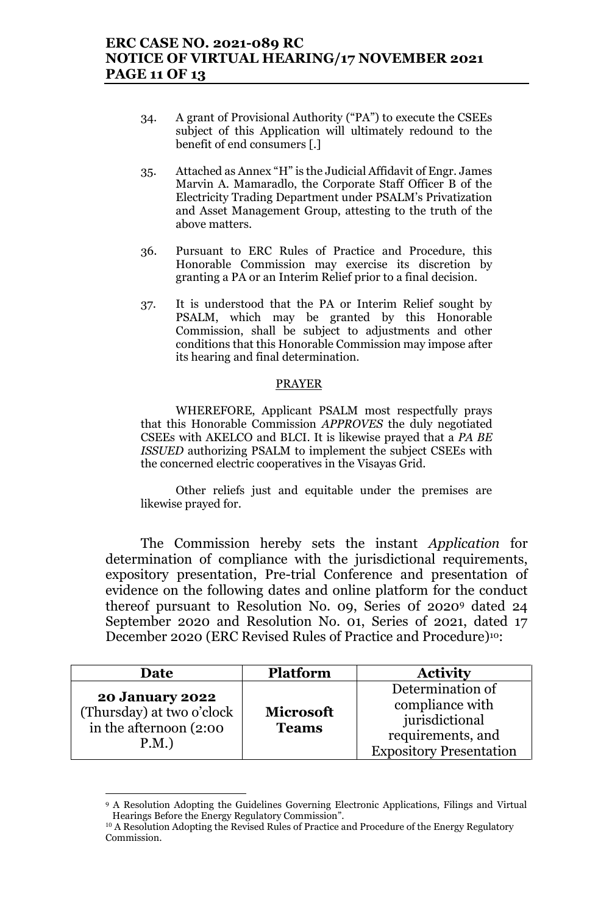- 34. A grant of Provisional Authority ("PA") to execute the CSEEs subject of this Application will ultimately redound to the benefit of end consumers [.]
- 35. Attached as Annex "H" is the Judicial Affidavit of Engr. James Marvin A. Mamaradlo, the Corporate Staff Officer B of the Electricity Trading Department under PSALM's Privatization and Asset Management Group, attesting to the truth of the above matters.
- 36. Pursuant to ERC Rules of Practice and Procedure, this Honorable Commission may exercise its discretion by granting a PA or an Interim Relief prior to a final decision.
- 37. It is understood that the PA or Interim Relief sought by PSALM, which may be granted by this Honorable Commission, shall be subject to adjustments and other conditions that this Honorable Commission may impose after its hearing and final determination.

### PRAYER

WHEREFORE, Applicant PSALM most respectfully prays that this Honorable Commission *APPROVES* the duly negotiated CSEEs with AKELCO and BLCI. It is likewise prayed that a *PA BE ISSUED* authorizing PSALM to implement the subject CSEEs with the concerned electric cooperatives in the Visayas Grid.

Other reliefs just and equitable under the premises are likewise prayed for.

The Commission hereby sets the instant *Application* for determination of compliance with the jurisdictional requirements, expository presentation, Pre-trial Conference and presentation of evidence on the following dates and online platform for the conduct thereof pursuant to Resolution No. 09, Series 0f 2020<sup>9</sup> dated 24 September 2020 and Resolution No. 01, Series of 2021, dated 17 December 2020 (ERC Revised Rules of Practice and Procedure)10:

| Date                                                                                  | <b>Platform</b>                  | <b>Activity</b>                                                                                              |
|---------------------------------------------------------------------------------------|----------------------------------|--------------------------------------------------------------------------------------------------------------|
| <b>20 January 2022</b><br>(Thursday) at two o'clock<br>in the afternoon (2:00<br>P.M. | <b>Microsoft</b><br><b>Teams</b> | Determination of<br>compliance with<br>jurisdictional<br>requirements, and<br><b>Expository Presentation</b> |

<sup>9</sup> A Resolution Adopting the Guidelines Governing Electronic Applications, Filings and Virtual Hearings Before the Energy Regulatory Commission".

<sup>&</sup>lt;sup>10</sup> A Resolution Adopting the Revised Rules of Practice and Procedure of the Energy Regulatory Commission.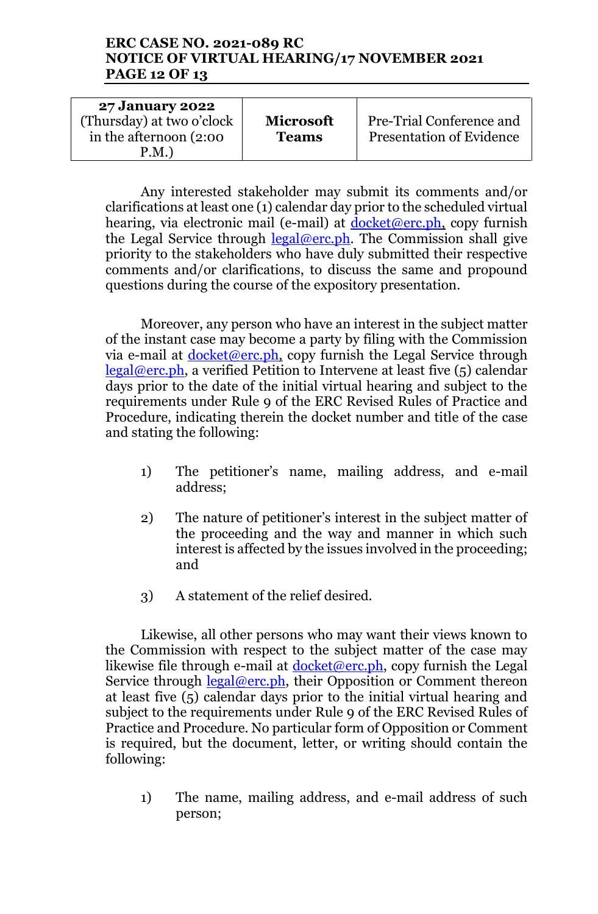## **ERC CASE NO. 2021-089 RC NOTICE OF VIRTUAL HEARING/17 NOVEMBER 2021 PAGE 12 OF 13**

| <b>27 January 2022</b>    |                  |                                 |
|---------------------------|------------------|---------------------------------|
| (Thursday) at two o'clock | <b>Microsoft</b> | Pre-Trial Conference and        |
| in the afternoon (2:00)   | <b>Teams</b>     | <b>Presentation of Evidence</b> |
| P.M.                      |                  |                                 |

Any interested stakeholder may submit its comments and/or clarifications at least one (1) calendar day prior to the scheduled virtual hearing, via electronic mail (e-mail) at  $d$ ocket@erc.ph, copy furnish the Legal Service through  $\frac{\text{legal@erc.ph.}}{\text{#}}$ . The Commission shall give priority to the stakeholders who have duly submitted their respective comments and/or clarifications, to discuss the same and propound questions during the course of the expository presentation.

Moreover, any person who have an interest in the subject matter of the instant case may become a party by filing with the Commission via e-mail at  $d$ ocket@erc.ph, copy furnish the Legal Service through  $\text{legal@erc.ph},$  a verified Petition to Intervene at least five  $(5)$  calendar days prior to the date of the initial virtual hearing and subject to the requirements under Rule 9 of the ERC Revised Rules of Practice and Procedure, indicating therein the docket number and title of the case and stating the following:

- 1) The petitioner's name, mailing address, and e-mail address;
- 2) The nature of petitioner's interest in the subject matter of the proceeding and the way and manner in which such interest is affected by the issues involved in the proceeding; and
- 3) A statement of the relief desired.

Likewise, all other persons who may want their views known to the Commission with respect to the subject matter of the case may likewise file through e-mail at  $d$ ocket@erc.ph, copy furnish the Legal Service through legal@erc.ph, their Opposition or Comment thereon at least five (5) calendar days prior to the initial virtual hearing and subject to the requirements under Rule 9 of the ERC Revised Rules of Practice and Procedure. No particular form of Opposition or Comment is required, but the document, letter, or writing should contain the following:

1) The name, mailing address, and e-mail address of such person;